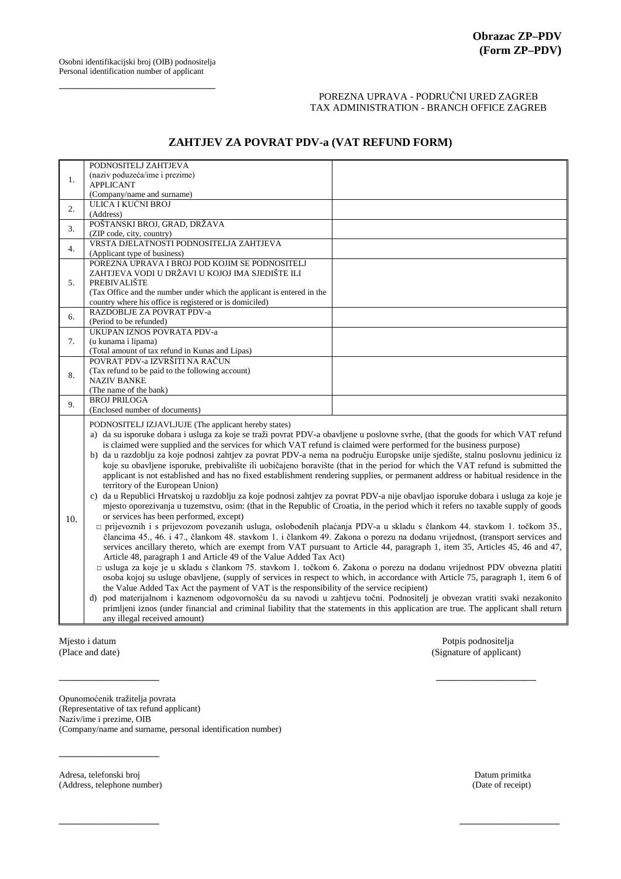## POREZNA UPRAVA - PODRUČNI URED ZAGREB TAX ADMINISTRATION - BRANCH OFFICE ZAGREB

## **ZAHTJEV ZA POVRAT PDV-a (VAT REFUND FORM)**

| PODNOSITELJ IZJAVLJUJE (The applicant hereby states)<br>a) da su isporuke dobara i usluga za koje se traži povrat PDV-a obavljene u poslovne svrhe, (that the goods for which VAT refund                                    |  |  |  |  |
|-----------------------------------------------------------------------------------------------------------------------------------------------------------------------------------------------------------------------------|--|--|--|--|
| is claimed were supplied and the services for which VAT refund is claimed were performed for the business purpose)                                                                                                          |  |  |  |  |
| b) da u razdoblju za koje podnosi zahtjev za povrat PDV-a nema na području Europske unije sjedište, stalnu poslovnu jedinicu iz                                                                                             |  |  |  |  |
| koje su obavljene isporuke, prebivalište ili uobičajeno boravište (that in the period for which the VAT refund is submitted the                                                                                             |  |  |  |  |
| applicant is not established and has no fixed establishment rendering supplies, or permanent address or habitual residence in the                                                                                           |  |  |  |  |
| territory of the European Union)                                                                                                                                                                                            |  |  |  |  |
| c) da u Republici Hrvatskoj u razdoblju za koje podnosi zahtjev za povrat PDV-a nije obavljao isporuke dobara i usluga za koje je                                                                                           |  |  |  |  |
| mjesto oporezivanja u tuzemstvu, osim: (that in the Republic of Croatia, in the period which it refers no taxable supply of goods                                                                                           |  |  |  |  |
| or services has been performed, except)                                                                                                                                                                                     |  |  |  |  |
| □ prijevoznih i s prijevozom povezanih usluga, oslobođenih plaćanja PDV-a u skladu s člankom 44. stavkom 1. točkom 35.,                                                                                                     |  |  |  |  |
| člancima 45., 46. i 47., člankom 48. stavkom 1. i člankom 49. Zakona o porezu na dodanu vrijednost, (transport services and                                                                                                 |  |  |  |  |
| services ancillary thereto, which are exempt from VAT pursuant to Article 44, paragraph 1, item 35, Articles 45, 46 and 47,                                                                                                 |  |  |  |  |
| Article 48, paragraph 1 and Article 49 of the Value Added Tax Act)                                                                                                                                                          |  |  |  |  |
| □ usluga za koje je u skladu s člankom 75. stavkom 1. točkom 6. Zakona o porezu na dodanu vrijednost PDV obvezna platiti                                                                                                    |  |  |  |  |
| osoba kojoj su usluge obavljene, (supply of services in respect to which, in accordance with Article 75, paragraph 1, item 6 of                                                                                             |  |  |  |  |
|                                                                                                                                                                                                                             |  |  |  |  |
| the Value Added Tax Act the payment of VAT is the responsibility of the service recipient)<br>pod materijalnom i kaznenom odgovornošću da su navodi u zahtjevu točni. Podnositelj je obvezan vratiti svaki nezakonito<br>d) |  |  |  |  |
|                                                                                                                                                                                                                             |  |  |  |  |
| primljeni iznos (under financial and criminal liability that the statements in this application are true. The applicant shall return                                                                                        |  |  |  |  |
|                                                                                                                                                                                                                             |  |  |  |  |
|                                                                                                                                                                                                                             |  |  |  |  |

\_\_\_\_\_\_\_\_\_\_\_\_\_\_\_\_ \_\_\_\_\_\_\_\_\_\_\_\_\_\_\_\_

\_\_\_\_\_\_\_\_\_\_\_\_\_\_\_\_ \_\_\_\_\_\_\_\_\_\_\_\_\_\_\_\_

Mjesto i datum Potpis podnositelja<br>
(Place and date) (Signature of applicant Chapter of applicant Chapter of applicant Chapter of applicant Chapter of applicant Chapter of applicant Chapter of applicant Chapter of applican (Signature of applicant)

Opunomoćenik tražitelja povrata (Representative of tax refund applicant) Naziv/ime i prezime, OIB (Company/name and surname, personal identification number)

Adresa, telefonski broj Datum primitka (Address, telephone number) Datum primitka (Address, telephone number) (Address, telephone number)

\_\_\_\_\_\_\_\_\_\_\_\_\_\_\_\_